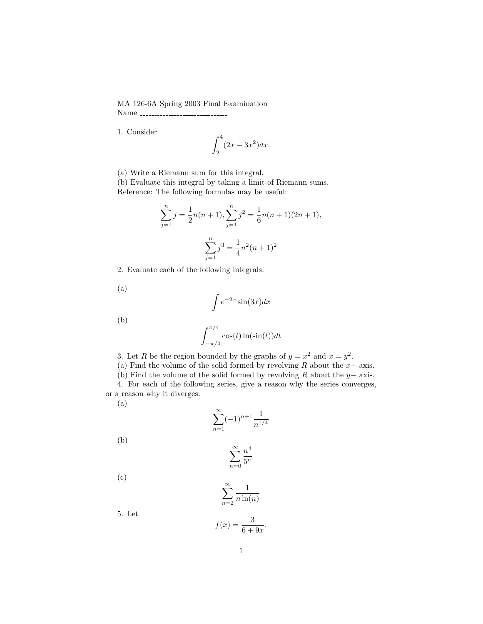## MA 126-6A Spring 2003 Final Examination Name

1. Consider

$$
\int_2^4 (2x - 3x^2) dx.
$$

(a) Write a Riemann sum for this integral.

(b) Evaluate this integral by taking a limit of Riemann sums. Reference: The following formulas may be useful:

$$
\sum_{j=1}^{n} j = \frac{1}{2}n(n+1), \sum_{j=1}^{n} j^{2} = \frac{1}{6}n(n+1)(2n+1),
$$

$$
\sum_{j=1}^{n} j^{3} = \frac{1}{4}n^{2}(n+1)^{2}
$$

2. Evaluate each of the following integrals.

(a)

$$
\int e^{-2x} \sin(3x) dx
$$

(b)

$$
\int_{-\pi/4}^{\pi/4} \cos(t) \ln(\sin(t)) dt
$$

3. Let R be the region bounded by the graphs of  $y = x^2$  and  $x = y^2$ .

(a) Find the volume of the solid formed by revolving R about the  $x-$  axis.

(b) Find the volume of the solid formed by revolving R about the  $y-$  axis. 4. For each of the following series, give a reason why the series converges, or a reason why it diverges.

$$
\rm (a)
$$

$$
\sum_{n=1}^{\infty} (-1)^{n+1} \frac{1}{n^{1/4}}
$$

(b)

$$
\sum_{n=0}^{\infty} \frac{n^4}{5^n}
$$

$$
(\mathrm{c})
$$

$$
\sum_{n=2}^{\infty} \frac{1}{n \ln(n)}
$$

5. Let

$$
f(x) = \frac{3}{6+9x}
$$

.